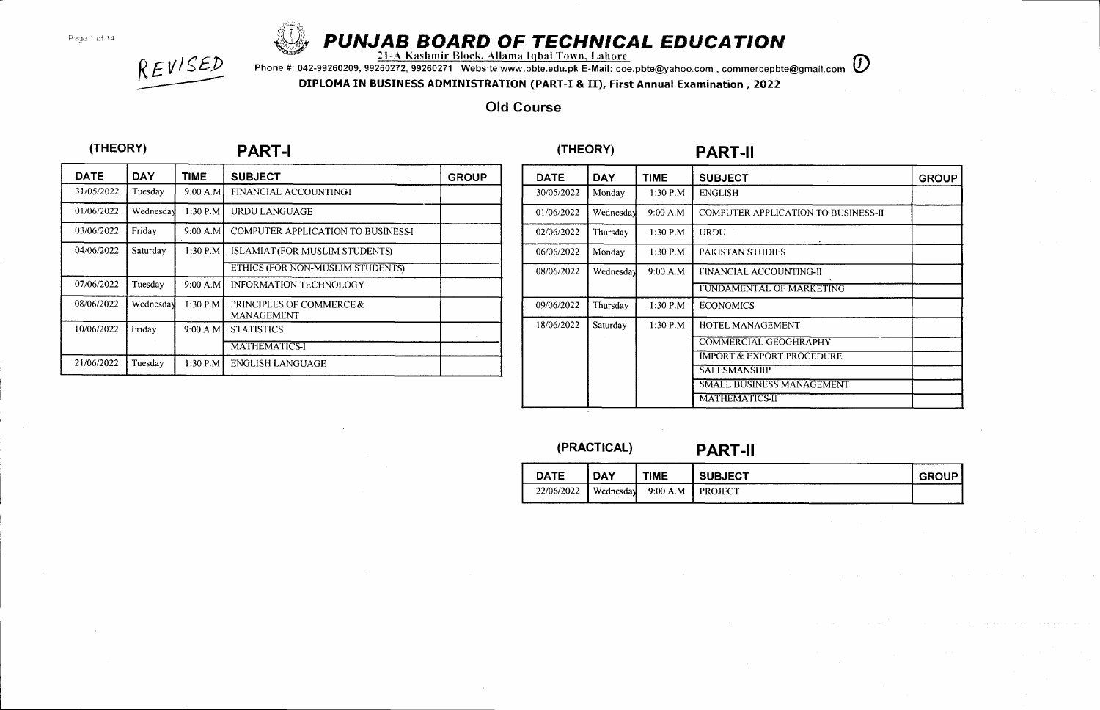# **Proge 1 of 14 & PUNJAB BOARD OF TECHNICAL EDUCATION**<br>21-A Kashmir Block, Allama Iqbal Town, Lahorc

Phone #: 042-99260209, 99260272, 99260271 Website www.pbte.edu.pk E-Mail: coe.pbte@yahoo.com, commercepbte@gmail.com  $\bm{\mathcal{D}}$ 

DIPLOMA IN BUSINESS ADMINISTRATION (PART-I & II), First Annual Examination , 2022

## Old Course

|  |  |  |  |  | (THEORY) |  |
|--|--|--|--|--|----------|--|
|--|--|--|--|--|----------|--|

REVISED

| PART-I | (THEORY) | <b>PART-II</b> |
|--------|----------|----------------|
|        |          |                |

| <b>DATE</b> | <b>DAY</b> | <b>TIME</b> | <b>SUBJECT</b><br>and a strategic             | <b>GROUP</b> |
|-------------|------------|-------------|-----------------------------------------------|--------------|
| 31/05/2022  | Tuesday    | 9:00 A.M    | FINANCIAL ACCOUNTINGI                         |              |
| 01/06/2022  | Wednesday  | 1:30 P.M    | <b>URDU LANGUAGE</b>                          |              |
| 03/06/2022  | Friday     | 9:00 A.M    | <b>COMPUTER APPLICATION TO BUSINESSI</b>      |              |
| 04/06/2022  | Saturday   | $1:30$ P.M  | <b>ISLAMIAT (FOR MUSLIM STUDENTS)</b>         |              |
|             |            |             | ETHICS (FOR NON-MUSLIM STUDENTS)              |              |
| 07/06/2022  | Tuesdav    | 9:00 A.M    | <b>INFORMATION TECHNOLOGY</b>                 |              |
| 08/06/2022  | Wednesday  | $1:30$ P.M  | PRINCIPLES OF COMMERCE &<br><b>MANAGEMENT</b> |              |
| 10/06/2022  | Friday     | 9:00 A.M    | <b>STATISTICS</b>                             |              |
|             |            |             | <b>MATHEMATICS-I</b>                          |              |
| 21/06/2022  | Tuesday    | $1:30$ P.M  | <b>ENGLISH LANGUAGE</b>                       |              |

| DATE       | <b>DAY</b> | <b>TIME</b> | <b>SUBJECT</b>                             | <b>GROUP</b> |
|------------|------------|-------------|--------------------------------------------|--------------|
| 30/05/2022 | Monday     | $1:30$ P.M  | <b>ENGLISH</b>                             |              |
| 01/06/2022 | Wednesday  | 9:00 A.M.   | <b>COMPUTER APPLICATION TO BUSINESS-II</b> |              |
| 02/06/2022 | Thursday   | $1:30$ P.M  | <b>URDU</b>                                |              |
| 06/06/2022 | Monday     | $1:30$ P.M  | PAKISTAN STUDIES                           |              |
| 08/06/2022 | Wednesday  | 9:00 A.M    | FINANCIAL ACCOUNTING-II                    |              |
|            |            |             | FUNDAMENTAL OF MARKETING                   |              |
| 09/06/2022 | Thursday   | 1:30 P.M    | <b>ECONOMICS</b>                           |              |
| 18/06/2022 | Saturday   | $1:30$ P.M  | HOTEL MANAGEMENT                           |              |
|            |            |             | <b>COMMERCIAL GEOGHRAPHY</b>               |              |
|            |            |             | <b>IMPORT &amp; EXPORT PROCEDURE</b>       |              |
|            |            |             | <b>SALESMANSHIP</b>                        |              |
|            |            |             | SMALL BUSINESS MANAGEMENT                  |              |
|            |            |             | <b>MATHEMATICS-II</b>                      |              |

(PRACTICAL) PART-II DATE DAY TIME SUBJECT SUBJECT  $22/06/2022$  Wednesday 9:00 A.M PROJECT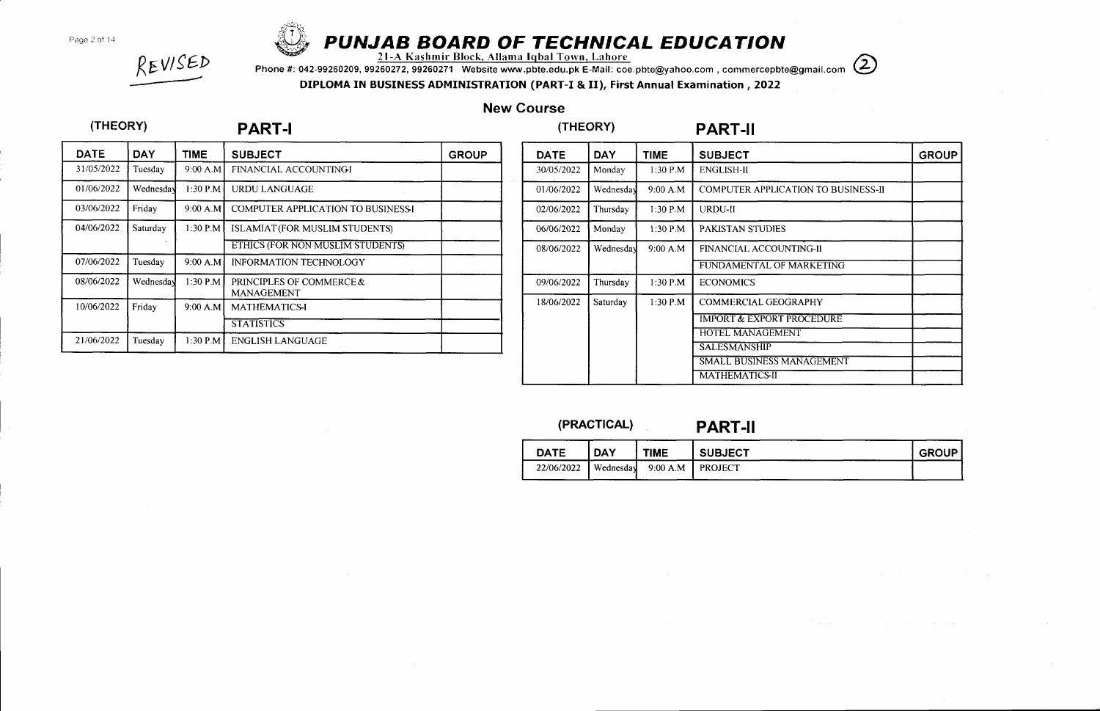Page 2 of 14



# **iththar the CHAIRE SOARD OF TECHNICAL EDUCATION**<br>21-A Kashmir Block, Allama Iqbal Town, Lahore

EVISED<br>Phone #: 042-99260209, 99260272, 99260271 Website www.pbte.edu.pk E-Mail: coe.pbte@yahoo.com , commercepbte@gmail.com (2022<br>DIPLOMA IN BUSINESS ADMINISTRATION (PART-I & II), First Annual Examination , 2022

## New Course

## (THEORY) PART.I (THEORY) PART.II

| <b>DATE</b> | <b>DAY</b> | <b>TIME</b> | <b>SUBJECT</b>                                | <b>GROUP</b> |
|-------------|------------|-------------|-----------------------------------------------|--------------|
| 31/05/2022  | Tuesday    | 9:00 A.M    | FINANCIAL ACCOUNTINGI                         |              |
| 01/06/2022  | Wednesday  | $1:30$ P.M  | <b>URDU LANGUAGE</b>                          |              |
| 03/06/2022  | Friday     | 9:00 A.M    | <b>COMPUTER APPLICATION TO BUSINESSI</b>      |              |
| 04/06/2022  | Saturday   | 1:30 P.M    | ISLAMIAT (FOR MUSLIM STUDENTS)                |              |
|             |            |             | ETHICS (FOR NON MUSLIM STUDENTS)              |              |
| 07/06/2022  | Tuesday    | 9:00 A.M    | <b>INFORMATION TECHNOLOGY</b>                 |              |
| 08/06/2022  | Wednesday  | 1:30 P.M    | PRINCIPLES OF COMMERCE &<br><b>MANAGEMENT</b> |              |
| 10/06/2022  | Friday     | 9:00 A.M    | <b>MATHEMATICS-I</b>                          |              |
|             |            |             | <b>STATISTICS</b>                             |              |
| 21/06/2022  | Tuesday    | $1:30$ P.M. | ENGLISH LANGUAGE                              |              |

| <b>DATE</b> | <b>DAY</b> | <b>TIME</b> | <b>SUBJECT</b>                             | <b>GROUP</b> |
|-------------|------------|-------------|--------------------------------------------|--------------|
| 30/05/2022  | Monday     | 1:30 P.M    | <b>ENGLISH-II</b>                          |              |
| 01/06/2022  | Wednesday  | 9:00 A.M    | <b>COMPUTER APPLICATION TO BUSINESS-II</b> |              |
| 02/06/2022  | Thursday   | $1:30$ P.M  | URDU-II                                    |              |
| 06/06/2022  | Monday     | $1:30$ P.M  | PAKISTAN STUDIES                           |              |
| 08/06/2022  | Wednesday  | 9:00 A.M    | FINANCIAL ACCOUNTING-II                    |              |
|             |            |             | FUNDAMENTAL OF MARKETING                   |              |
| 09/06/2022  | Thursday   | 1:30 P.M    | <b>ECONOMICS</b>                           |              |
| 18/06/2022  | Saturday   | $1:30$ P.M  | <b>COMMERCIAL GEOGRAPHY</b>                |              |
|             |            |             | <b>IMPORT &amp; EXPORT PROCEDURE</b>       |              |
|             |            |             | <b>HOTEL MANAGEMENT</b>                    |              |
|             |            |             | <b>SALESMANSHIP</b>                        |              |
|             |            |             | <b>SMALL BUSINESS MANAGEMENT</b>           |              |
|             |            |             | <b>MATHEMATICS-II</b>                      |              |

## (PRAcrlcAL) PART-ll

| <b>DATE</b> | <b>DAY</b> | <b>TIME</b> | <b>SUBJECT</b>   | <b>GROUP</b> |
|-------------|------------|-------------|------------------|--------------|
| 22/06/2022  | Wednesday  | 9:00 A.M    | <b>I PROJECT</b> |              |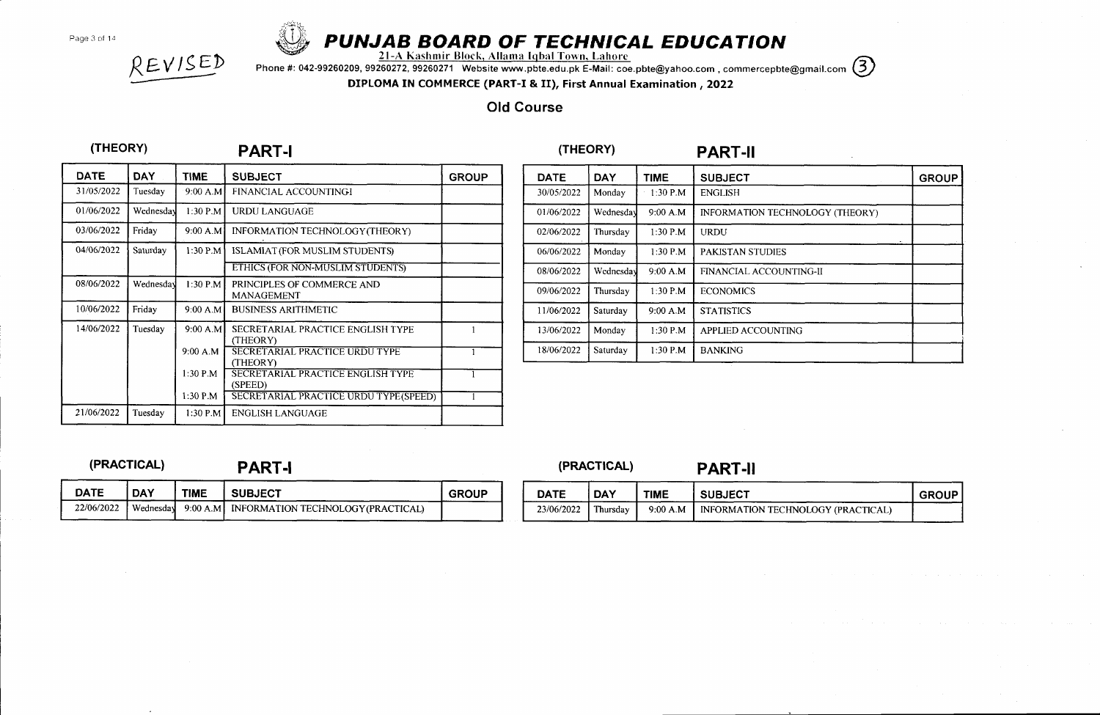Page 3 of 14



# $\bigotimes$  PUNJAB BOARD OF TECHNICAL EDUCATION

 $\Omega \subset \bigvee_{i=1}^{\infty} \mathbb{R}$  2l-A Kashmir Block, Allama Iqbal Town, Lahore

The Mashmir Block, Allama Igbal Town, Lahore<br>Phone #: 042-99260209, 99260272, 99260271 Website www.pbte.edu.pk E-Mail: coe.pbte@yahoo.com , commercepbte@gmail.com (3)<br>DIPLOMA IN COMMERCE (PART-I & II), First Annual Examina

### Old Course

| <b>DATE</b> | <b>DAY</b> | <b>TIME</b> | <b>SUBJECT</b>                                           | <b>GROUP</b> |
|-------------|------------|-------------|----------------------------------------------------------|--------------|
| 31/05/2022  | Tuesday    | 9:00 A.M    | FINANCIAL ACCOUNTINGI                                    |              |
| 01/06/2022  | Wednesday  | $1:30$ P.M  | <b>URDU LANGUAGE</b>                                     |              |
| 03/06/2022  | Friday     | 9:00 A.M    | INFORMATION TECHNOLOGY (THEORY)                          |              |
| 04/06/2022  | Saturday   | $1:30$ P.M  | ISLAMIAT (FOR MUSLIM STUDENTS)                           |              |
|             |            |             | ETHICS (FOR NON-MUSLIM STUDENTS)                         |              |
| 08/06/2022  | Wednesday  | 1:30 P.M    | PRINCIPLES OF COMMERCE AND<br><b>MANAGEMENT</b>          |              |
| 10/06/2022  | Friday     | 9:00 A.M    | <b>BUSINESS ARITHMETIC</b>                               |              |
| 14/06/2022  | Tuesday    | 9:00 A.M    | SECRETARIAL PRACTICE ENGLISH TYPE<br>(THEORY)            |              |
|             |            | 9:00 A.M    | <b>SECRETARIAL PRACTICE URDU TYPE</b><br><b>(THEORY)</b> |              |
|             |            | $1:30$ P.M. | SECRETARIAL PRACTICE ENGLISH TYPE<br>(SPEED)             |              |
|             |            | $1:30$ P.M. | SECRETARIAL PRACTICE URDU TYPE (SPEED)                   |              |
| 21/06/2022  | Tuesday    | $1:30$ PM   | <b>ENGLISH LANGUAGE</b>                                  |              |

| <b>DATE</b> | <b>DAY</b> | <b>TIME</b> | <b>SUBJECT</b>                  | <b>GROUP</b> |
|-------------|------------|-------------|---------------------------------|--------------|
| 30/05/2022  | Monday     | $1:30$ P.M  | <b>ENGLISH</b>                  |              |
| 01/06/2022  | Wednesday  | 9:00 A.M    | INFORMATION TECHNOLOGY (THEORY) |              |
| 02/06/2022  | Thursday   | $1:30$ P.M  | URDU                            |              |
| 06/06/2022  | Monday     | $1:30$ P.M  | <b>PAKISTAN STUDIES</b>         |              |
| 08/06/2022  | Wednesday  | 9.00 A.M    | FINANCIAL ACCOUNTING-II         |              |
| 09/06/2022  | Thursday   | $1:30$ P.M  | <b>ECONOMICS</b>                |              |
| 11/06/2022  | Saturday   | 9:00 A.M    | <b>STATISTICS</b>               |              |
| 13/06/2022  | Monday     | $1:30$ P.M  | APPLIED ACCOUNTING              |              |
| 18/06/2022  | Saturday   | $1:30$ P.M  | <b>BANKING</b>                  |              |

22/06/2022 Wednesday 9:00 A.M INFORMATION TECHNOLOGY (PRACTICAL)

DATE DAY TIME SUBJECT SUBJECT

(PRACTICAL) PART-I (PRACTICAL) PART-II

| <b>DATE</b> | <b>DAY</b> | <b>TIME</b> | <b>SUBJECT</b>                       | <b>GROUP</b> |
|-------------|------------|-------------|--------------------------------------|--------------|
| 23/06/2022  | Thursdav   | 9:00 A.M    | I INFORMATION TECHNOLOGY (PRACTICAL) |              |

# (THEORY) PART.I (THEORY) PART.II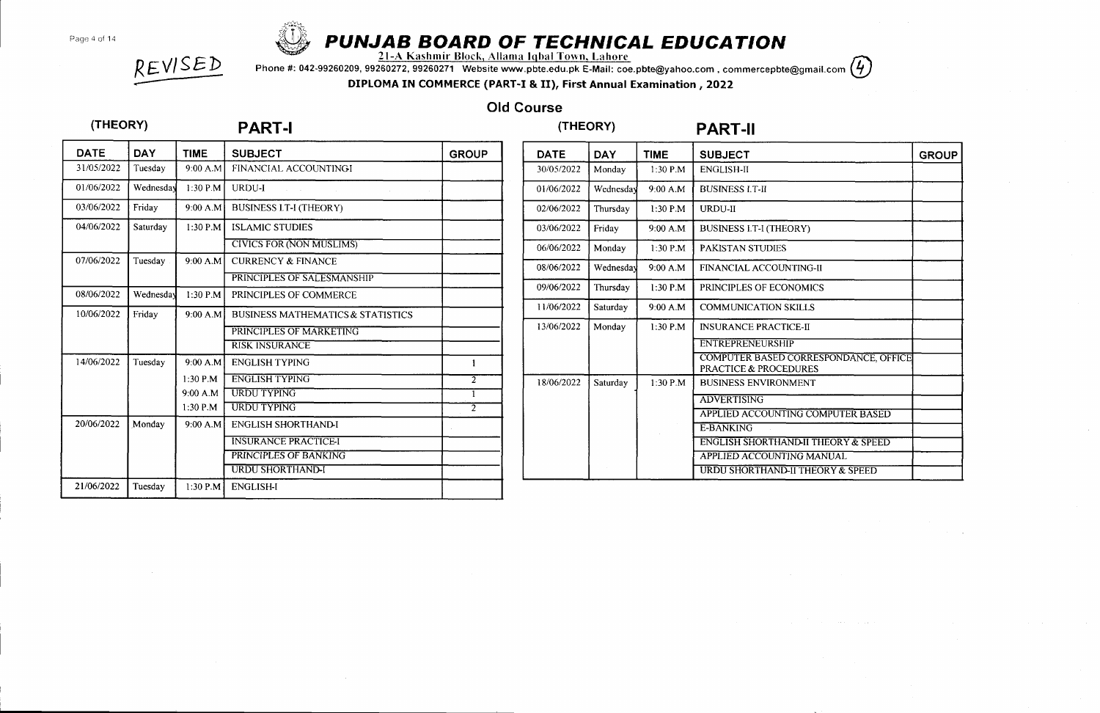Page 4 of 14



# PUNJAB BOARD OF TECHNICAL EDUCATION<br>21-A Kashmir Block, Allama Iqbal Town, Lahore

N EV I SED Phone #: 042-99260209, 99260272, 99260271 Website www.pbte.edu.pk E-Mail: coe.pbte@yahoo.com , commercepbte@gmail.com , who was not all and the US of the US of the US of the US of the US of the US of the US of Phone #: 042-99260209, 99260272, 99260271 Website www.pbte.edu.pk E-Mail: coe.pbte@yahoo.com, cor<br>DIPLOMA IN COMMERCE (PART-I & II), First Annual Examination , 2022

## Old Course

# (THEORY) PART-I (THEORY) PART.II

| <b>DATE</b> | <b>DAY</b> | <b>TIME</b> | <b>SUBJECT</b>                               | <b>GROUP</b>   |
|-------------|------------|-------------|----------------------------------------------|----------------|
| 31/05/2022  | Tuesday    | 9:00 A.M    | FINANCIAL ACCOUNTINGI                        |                |
| 01/06/2022  | Wednesday  | 1:30 P.M.   | URDU-I                                       |                |
| 03/06/2022  | Friday     | 9:00 A.M    | <b>BUSINESS LT-I (THEORY)</b>                |                |
| 04/06/2022  | Saturday   | $1:30$ P.M  | <b>ISLAMIC STUDIES</b>                       |                |
|             |            |             | <b>CIVICS FOR (NON MUSLIMS)</b>              |                |
| 07/06/2022  | Tuesday    | 9:00 A.M    | <b>CURRENCY &amp; FINANCE</b>                |                |
|             |            |             | PRINCIPLES OF SALESMANSHIP                   |                |
| 08/06/2022  | Wednesday  | 1:30 P.M    | PRINCIPLES OF COMMERCE                       |                |
| 10/06/2022  | Friday     | 9:00 A.M    | <b>BUSINESS MATHEMATICS &amp; STATISTICS</b> |                |
|             |            |             | PRINCIPLES OF MARKETING                      |                |
|             |            |             | <b>RISK INSURANCE</b>                        |                |
| 14/06/2022  | Tuesday    | 9:00 A.M    | <b>ENGLISH TYPING</b>                        | 1              |
|             |            | 1:30 P.M    | <b>ENGLISH TYPING</b>                        | $\overline{2}$ |
|             |            | 9:00 A.M    | <b>URDU TYPING</b>                           |                |
|             |            | $1:30$ P.M. | <b>URDU TYPING</b>                           | $\overline{2}$ |
| 20/06/2022  | Monday     | 9:00 A.M    | <b>ENGLISH SHORTHAND-I</b>                   |                |
|             |            |             | <b>INSURANCE PRACTICE-I</b>                  |                |
|             |            |             | PRINCIPLES OF BANKING                        |                |
|             |            |             | <b>URDU SHORTHAND-I</b>                      |                |
| 21/06/2022  | Tuesday    | 1:30 P.M    | <b>ENGLISH-I</b>                             |                |

| <b>DATE</b> | <b>DAY</b> | <b>TIME</b> | <b>SUBJECT</b>                                                            | <b>GROUP</b> |
|-------------|------------|-------------|---------------------------------------------------------------------------|--------------|
| 30/05/2022  | Monday     | $1:30$ P.M. | <b>ENGLISH-II</b>                                                         |              |
| 01/06/2022  | Wednesday  | 9:00 A.M    | <b>BUSINESS I.T-II</b>                                                    |              |
| 02/06/2022  | Thursday   | 1:30 P.M    | URDU-II                                                                   |              |
| 03/06/2022  | Friday     | 9:00 A.M    | <b>BUSINESS I.T-I (THEORY)</b>                                            |              |
| 06/06/2022  | Monday     | $1:30$ P.M  | <b>PAKISTAN STUDIES</b>                                                   |              |
| 08/06/2022  | Wednesday  | 9:00 A.M    | <b>FINANCIAL ACCOUNTING-II</b>                                            |              |
| 09/06/2022  | Thursday   | 1:30 P.M    | PRINCIPLES OF ECONOMICS                                                   |              |
| 11/06/2022  | Saturday   | 9:00 A.M    | <b>COMMUNICATION SKILLS</b>                                               |              |
| 13/06/2022  | Monday     | $1:30$ P.M  | <b>INSURANCE PRACTICE-II</b>                                              |              |
|             |            |             | <b>ENTREPRENEURSHIP</b>                                                   |              |
|             |            |             | COMPUTER BASED CORRESPONDANCE, OFFICE<br><b>PRACTICE &amp; PROCEDURES</b> |              |
| 18/06/2022  | Saturday   | $1:30$ P.M  | <b>BUSINESS ENVIRONMENT</b>                                               |              |
|             |            |             | <b>ADVERTISING</b>                                                        |              |
|             |            |             | APPLIED ACCOUNTING COMPUTER BASED                                         |              |
|             |            |             | <b>E-BANKING</b>                                                          |              |
|             |            |             | <b>ENGLISH SHORTHAND-II THEORY &amp; SPEED</b>                            |              |
|             |            |             | APPLIED ACCOUNTING MANUAL                                                 |              |
|             |            |             | URDU SHORTHAND-II THEORY & SPEED                                          |              |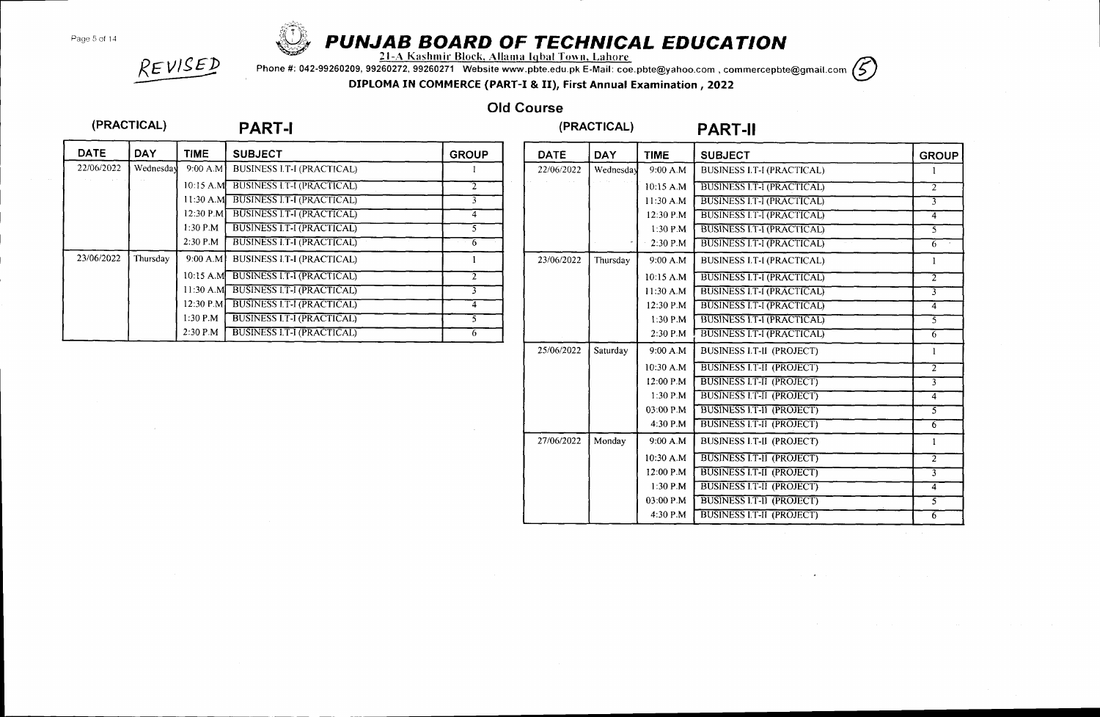Page 5 of 14



# PUNJAB BOARD OF TECHNICAL EDUCATION<br>21-A Kashmir Block, Allama Iqbal Town, Lahore

Phone #: 042-99260209, 99260272, 99260271 Website www.pbte.edu.pk E-Mail: coe.pbte@yahoo.com , commercepbte@gmail.com (5)

DIPLOMA IN COMMERCE (PART-I & II), First Annual Examination ,2022

## Old Course

### (PRACTICAL)

 $REVISED$ 

## PART-I (PRACTICAL) PART-II

| <b>DATE</b> | <b>DAY</b> | <b>TIME</b>  | <b>SUBJECT</b>                    | <b>GROUP</b>            |
|-------------|------------|--------------|-----------------------------------|-------------------------|
| 22/06/2022  | Wednesday  | 9:00 A.M     | <b>BUSINESS I.T-I (PRACTICAL)</b> |                         |
|             |            | $10:15$ A.M. | <b>BUSINESS I.T-I (PRACTICAL)</b> | $\overline{2}$          |
|             |            | $11:30$ A.M. | <b>BUSINESS I.T-I (PRACTICAL)</b> |                         |
|             |            | $12:30$ P.M  | <b>BUSINESS LT-I (PRACTICAL)</b>  | 4                       |
|             |            | 1:30 P.M     | <b>BUSINESS I.T-I (PRACTICAL)</b> |                         |
|             |            | 2:30 P.M.    | <b>BUSINESS I.T-I (PRACTICAL)</b> | 6                       |
| 23/06/2022  | Thursday   | 9:00 A.M     | <b>BUSINESS I.T-I (PRACTICAL)</b> |                         |
|             |            | 10:15 A.M    | <b>BUSINESS I.T-I (PRACTICAL)</b> | $\overline{\mathbf{r}}$ |
|             |            | 11:30 A.M.   | <b>BUSINESS I.T-I (PRACTICAL)</b> | ٦                       |
|             |            | 12:30 P.M    | <b>BUSINESS I.T-I (PRACTICAL)</b> | 4                       |
|             |            | $1:30$ P.M   | <b>BUSINESS LT-I (PRACTICAL)</b>  | 5                       |
|             |            | $2:30$ P.M   | <b>BUSINESS I.T-I (PRACTICAL)</b> | 6                       |

| <b>DATE</b> | <b>DAY</b> | <b>TIME</b> | <b>SUBJECT</b>                    | <b>GROUP</b>             |
|-------------|------------|-------------|-----------------------------------|--------------------------|
| 22/06/2022  | Wednesday  | 9:00 A.M    | <b>BUSINESS I.T-I (PRACTICAL)</b> | $\mathbf{1}$             |
|             |            | 10:15 A.M   | <b>BUSINESS I.T-I (PRACTICAL)</b> | $\overline{2}$           |
|             |            | $11:30$ A.M | <b>BUSINESS LT-I (PRACTICAL)</b>  | $\overline{\mathcal{X}}$ |
|             |            | 12:30 P.M.  | <b>BUSINESS LT-I (PRACTICAL)</b>  | $\overline{4}$           |
|             |            | $1:30$ P.M  | BUSINESS I.T-I (PRACTICAL)        | $\overline{5}$           |
|             |            | 2:30 P.M.   | <b>BUSINESS LT-I (PRACTICAL)</b>  | $6 \overline{6}$         |
| 23/06/2022  | Thursday   | 9:00 A.M    | <b>BUSINESS I.T-I (PRACTICAL)</b> | $\mathbf{1}$             |
|             |            | 10:15 A.M   | <b>BUSINESS I.T-I (PRACTICAL)</b> | $\overline{2}$           |
|             |            | 11:30 A.M   | <b>BUSINESS I.T-I (PRACTICAL)</b> | 7                        |
|             |            | 12:30 P.M   | <b>BUSINESS I.T-I (PRACTICAL)</b> | $\overline{4}$           |
|             |            | 1:30 P.M    | BUSINESS I.T-I (PRACTICAL)        | $\overline{5}$           |
|             |            | 2:30 P.M    | <b>BUSINESS I.T-I (PRACTICAL)</b> | 6                        |
| 25/06/2022  | Saturdav   | 9:00 A.M    | <b>BUSINESS I.T-II (PROJECT)</b>  | 1                        |
|             |            | 10:30 A.M   | <b>BUSINESS I.T-II (PROJECT)</b>  | $\overline{2}$           |
|             |            | 12:00 P.M   | <b>BUSINESS I.T-II (PROJECT)</b>  | $\overline{3}$           |
|             |            | $1:30$ P.M. | <b>BUSINESS I.T-II (PROJECT)</b>  | $\overline{4}$           |
|             |            | 03:00 P.M.  | <b>BUSINESS I.T-II (PROJECT)</b>  | $\overline{5}$           |
|             |            | 4:30 P.M    | <b>BUSINESS I.T-II (PROJECT)</b>  | 6                        |
| 27/06/2022  | Monday     | 9:00 A.M    | <b>BUSINESS I.T-II (PROJECT)</b>  | $\mathbf{1}$             |
|             |            | 10:30 A.M   | <b>BUSINESS I.T-II (PROJECT)</b>  | $\overline{2}$           |
|             |            | 12:00 P.M   | <b>BUSINESS I.T-II (PROJECT)</b>  | $\overline{\mathbf{3}}$  |
|             |            | 1:30 P.M    | <b>BUSINESS I.T-II (PROJECT)</b>  | $\overline{4}$           |
|             |            | 03:00 P.M   | BUSINESS I.T-II (PROJECT)         | $\overline{5}$           |
|             |            | 4:30 P.M    | <b>BUSINESS I.T-II (PROJECT)</b>  | $\overline{6}$           |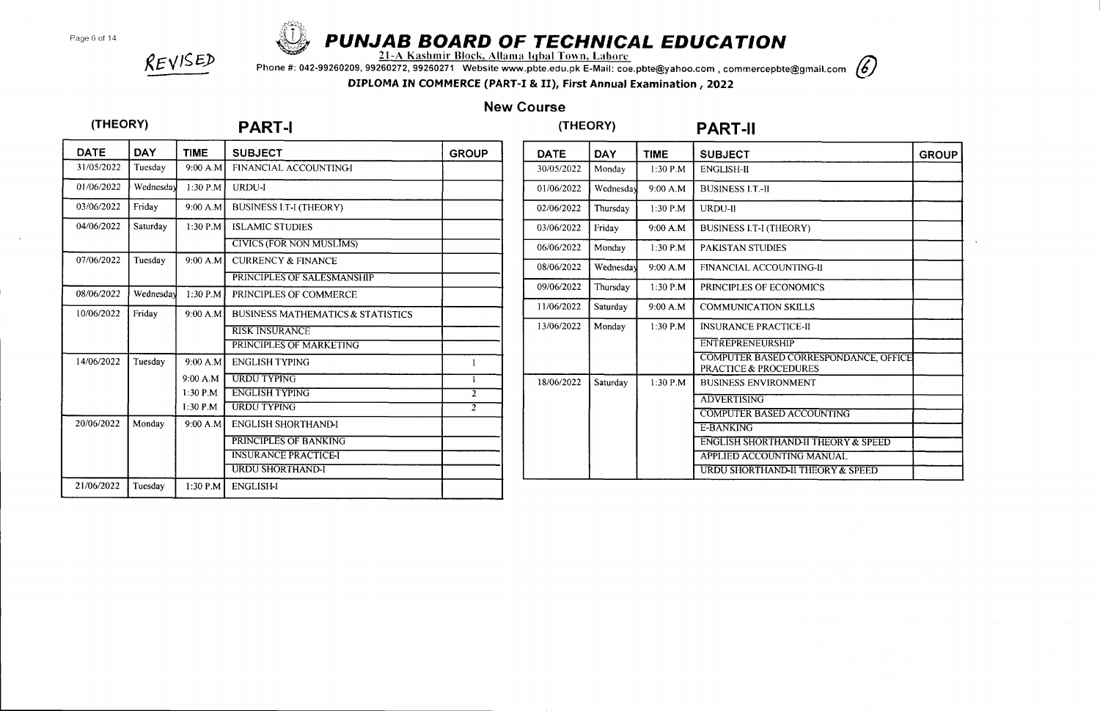Page 6 of 14



# **PUNJAB BOARD OF TECHNICAL EDUCATION**<br>21-A Kashmir Block, Allama Igbal Town, Lahorc

hone #: 042-99260209, 99260272, 99260271 Website www.pbte.edu.pk E-Mail: coe.pbte@yahoo.com , commercepbte@gmail.com  $(G)$ 



DIPLOMA IN COMMERCE (PART-I & II), First Annual Examination, 2022

## New Course

### (THEORY)

REVISED

### PART.I

# (THEORY) PART.II

| DATE       | <b>DAY</b> | <b>TIME</b> | <b>SUBJECT</b>                               | <b>GROUP</b>   |
|------------|------------|-------------|----------------------------------------------|----------------|
| 31/05/2022 | Tuesday    | 9:00 A.M    | FINANCIAL ACCOUNTINGI                        |                |
| 01/06/2022 | Wednesday  | 1:30 P.M    | URDU-I                                       |                |
| 03/06/2022 | Friday     | 9:00 A.M    | <b>BUSINESS I.T-I (THEORY)</b>               |                |
| 04/06/2022 | Saturday   | 1:30 P.M    | <b>ISLAMIC STUDIES</b>                       |                |
|            |            |             | <b>CIVICS (FOR NON MUSLIMS)</b>              |                |
| 07/06/2022 | Tuesday    | 9:00 A.M    | <b>CURRENCY &amp; FINANCE</b>                |                |
|            |            |             | PRINCIPLES OF SALESMANSHIP                   |                |
| 08/06/2022 | Wednesday  | 1:30 P.M    | PRINCIPLES OF COMMERCE                       |                |
| 10/06/2022 | Friday     | 9:00 A.M    | <b>BUSINESS MATHEMATICS &amp; STATISTICS</b> |                |
|            |            |             | <b>RISK INSURANCE</b>                        |                |
|            |            |             | PRINCIPLES OF MARKETING                      |                |
| 14/06/2022 | Tuesday    | 9:00 A.M    | <b>ENGLISH TYPING</b>                        | $\mathbf{1}$   |
|            |            | 9:00 A.M    | <b>URDU TYPING</b>                           | L              |
|            |            | $1:30$ P.M  | <b>ENGLISH TYPING</b>                        | $\overline{2}$ |
|            |            | $1:30$ P.M  | <b>URDU TYPING</b>                           | $\overline{2}$ |
| 20/06/2022 | Monday     | 9:00 A.M    | <b>ENGLISH SHORTHAND-I</b>                   |                |
|            |            |             | PRINCIPLES OF BANKING                        |                |
|            |            |             | <b>INSURANCE PRACTICE-I</b>                  |                |
|            |            |             | <b>URDU SHORTHAND-I</b>                      |                |
| 21/06/2022 | Tuesday    | 1:30 P.M    | <b>ENGLISH-I</b>                             |                |

| <b>DATE</b> | DAY       | <b>TIME</b> | <b>SUBJECT</b>                                                            | <b>GROUP</b> |
|-------------|-----------|-------------|---------------------------------------------------------------------------|--------------|
| 30/05/2022  | Monday    | 1:30 P.M    | <b>ENGLISH-II</b>                                                         |              |
| 01/06/2022  | Wednesday | 9:00 A.M    | <b>BUSINESS I.T.-II</b>                                                   |              |
| 02/06/2022  | Thursday  | $1:30$ P.M  | URDU-II                                                                   |              |
| 03/06/2022  | Friday    | 9:00 A.M    | <b>BUSINESS I.T-I (THEORY)</b>                                            |              |
| 06/06/2022  | Monday    | 1:30 P.M    | <b>PAKISTAN STUDIES</b>                                                   |              |
| 08/06/2022  | Wednesday | 9:00 A.M    | <b>FINANCIAL ACCOUNTING-II</b>                                            |              |
| 09/06/2022  | Thursday  | 1:30 P.M    | PRINCIPLES OF ECONOMICS                                                   |              |
| 11/06/2022  | Saturday  | 9:00 A.M    | <b>COMMUNICATION SKILLS</b>                                               |              |
| 13/06/2022  | Monday    | $1:30$ P.M  | <b>INSURANCE PRACTICE-II</b>                                              |              |
|             |           |             | <b>ENTREPRENEURSHIP</b>                                                   |              |
|             |           |             | COMPUTER BASED CORRESPONDANCE, OFFICE<br><b>PRACTICE &amp; PROCEDURES</b> |              |
| 18/06/2022  | Saturday  | 1:30 P.M    | <b>BUSINESS ENVIRONMENT</b>                                               |              |
|             |           |             | <b>ADVERTISING</b>                                                        |              |
|             |           |             | <b>COMPUTER BASED ACCOUNTING</b>                                          |              |
|             |           |             | E-BANKING                                                                 |              |
|             |           |             | <b>ENGLISH SHORTHAND-II THEORY &amp; SPEED</b>                            |              |
|             |           |             | APPLIED ACCOUNTING MANUAL                                                 |              |
|             |           |             | URDU SHORTHAND-II THEORY & SPEED                                          |              |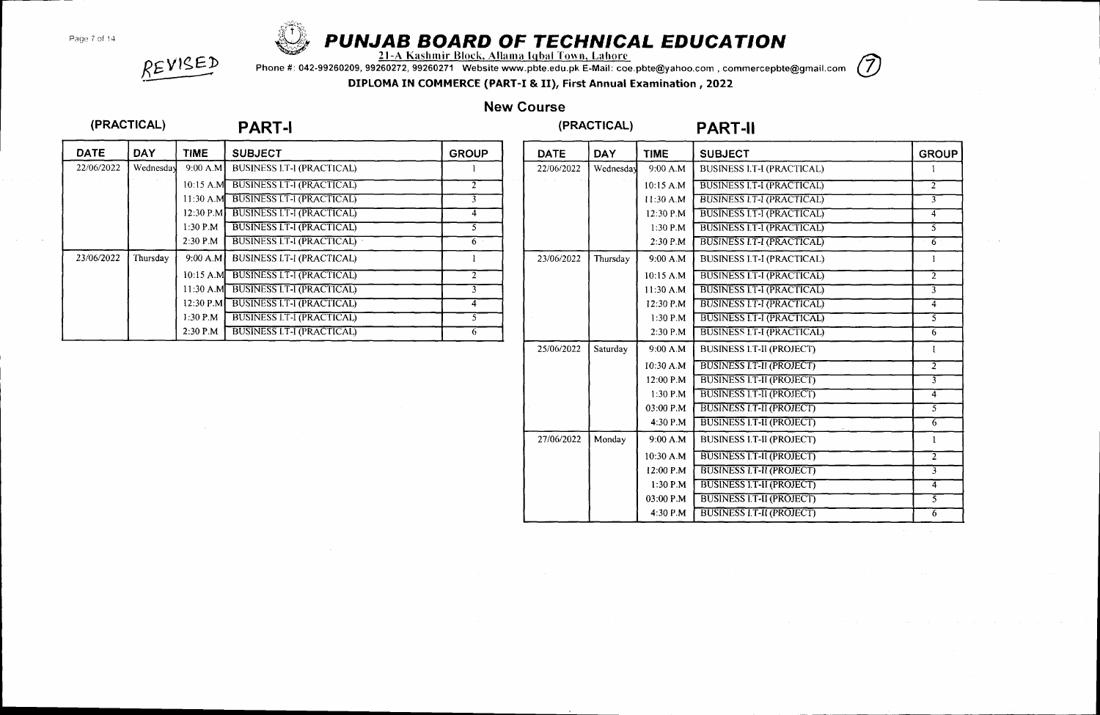Page 7 of 14



# $\bigotimes_{21}$  PUNJAB BOARD OF TECHNICAL EDUCATION

Phone #: 042-99260209,99260272,99260271 Website www.pbte.edu.pk E-Mail: coe.pbte@yahoo.com , commercepbte@gmail.com DIPLOMA IN COMMERCE (PART-I & II), First Annual Examination ,2022



REVISED

## New Course

### (PRACTICAL)

## PART-I (PRACTICAL) PART-II

| <b>DATE</b> | <b>DAY</b> | <b>TIME</b> | <b>SUBJECT</b>                    | <b>GROUP</b>   |
|-------------|------------|-------------|-----------------------------------|----------------|
| 22/06/2022  | Wednesday  | 9:00 A.M    | <b>BUSINESS I.T-I (PRACTICAL)</b> |                |
|             |            | 10:15 A.M   | <b>BUSINESS I.T-I (PRACTICAL)</b> |                |
|             |            | $11:30$ A.M | <b>BUSINESS I.T-I (PRACTICAL)</b> |                |
|             |            | 12:30 P.M   | <b>BUSINESS I.T-I (PRACTICAL)</b> | 4              |
|             |            | $1:30$ P.M  | <b>BUSINESS I.T-I (PRACTICAL)</b> |                |
|             |            | $2:30$ P.M  | <b>BUSINESS I.T-I (PRACTICAL)</b> | 6.             |
| 23/06/2022  | Thursday   | 9:00 A.M    | <b>BUSINESS I.T-I (PRACTICAL)</b> |                |
|             |            | $10:15$ A.M | <b>BUSINESS I.T-I (PRACTICAL)</b> | $\overline{c}$ |
|             |            | $11:30$ A.M | <b>BUSINESS I.T-I (PRACTICAL)</b> |                |
|             |            | $12:30$ P.M | <b>BUSINESS I.T-I (PRACTICAL)</b> | 4              |
|             |            | $1:30$ P.M  | <b>BUSINESS I.T-I (PRACTICAL)</b> |                |
|             |            | $2:30$ P.M  | <b>BUSINESS I.T-I (PRACTICAL)</b> | o              |

| <b>DATE</b> | <b>DAY</b> | <b>TIME</b> | <b>SUBJECT</b>                    | <b>GROUP</b>            |
|-------------|------------|-------------|-----------------------------------|-------------------------|
| 22/06/2022  | Wednesday  | 9:00 A.M    | <b>BUSINESS I.T-I (PRACTICAL)</b> | 1                       |
|             |            | 10:15 A.M   | BUSINESS I.T-I (PRACTICAL)        | $\overline{2}$          |
|             |            | 11:30 A.M   | <b>BUSINESS LT-I (PRACTICAL)</b>  | ᢋ                       |
|             |            | 12:30 P.M   | <b>BUSINESS I.T-I (PRACTICAL)</b> | 4                       |
|             |            | 1:30 P.M    | <b>BUSINESS LT-I (PRACTICAL)</b>  | 3                       |
|             |            | 2:30 P.M    | <b>BUSINESS I.T-I (PRACTICAL)</b> | $6^{\circ}$             |
| 23/06/2022  | Thursday   | 9:00 A.M    | <b>BUSINESS I.T-I (PRACTICAL)</b> | 1                       |
|             |            | 10:15 A.M   | <b>BUSINESS I.T-I (PRACTICAL)</b> | $\overline{\mathbb{2}}$ |
|             |            | 11:30 A.M   | <b>BUSINESS I.T-I (PRACTICAL)</b> | 3                       |
|             |            | 12:30 P.M.  | <b>BUSINESS I.T-I (PRACTICAL)</b> | $\overline{4}$          |
|             |            | $1:30$ P.M  | <b>BUSINESS IT-I (PRACTICAL)</b>  | 5                       |
|             |            | 2:30 P.M    | <b>BUSINESS I.T-I (PRACTICAL)</b> | $\overline{6}$          |
| 25/06/2022  | Saturday   | 9:00 A.M    | <b>BUSINESS I.T-II (PROJECT)</b>  | 1                       |
|             |            | 10:30 A.M   | <b>BUSINESS I.T-II (PROJECT)</b>  | $\overline{2}$          |
|             |            | 12:00 P.M   | <b>BUSINESS I.T-II (PROJECT)</b>  | $\overline{3}$          |
|             |            | $1:30$ P.M  | <b>BUSINESS I.T-II (PROJECT)</b>  | $\overline{4}$          |
|             |            | 03:00 P.M   | <b>BUSINESS I.T-II (PROJECT)</b>  | $\overline{5}$          |
|             |            | 4:30 P.M    | <b>BUSINESS I.T-II (PROJECT)</b>  | 6                       |
| 27/06/2022  | Monday     | 9:00 A.M    | <b>BUSINESS I.T-II (PROJECT)</b>  | 1                       |
|             |            | $10:30$ A.M | <b>BUSINESS I.T-II (PROJECT)</b>  | $\overline{\mathbf{2}}$ |
|             |            | 12:00 P.M   | <b>BUSINESS I.T-II (PROJECT)</b>  | $\overline{3}$          |
|             |            | 1:30 P.M    | <b>BUSINESS I.T-II (PROJECT)</b>  | $\overline{4}$          |
|             |            | 03:00 P.M   | <b>BUSINESS I.T-II (PROJECT)</b>  | $\overline{5}$          |
|             |            | 4:30 P.M    | <b>BUSINESS I.T-II (PROJECT)</b>  | $\overline{6}$          |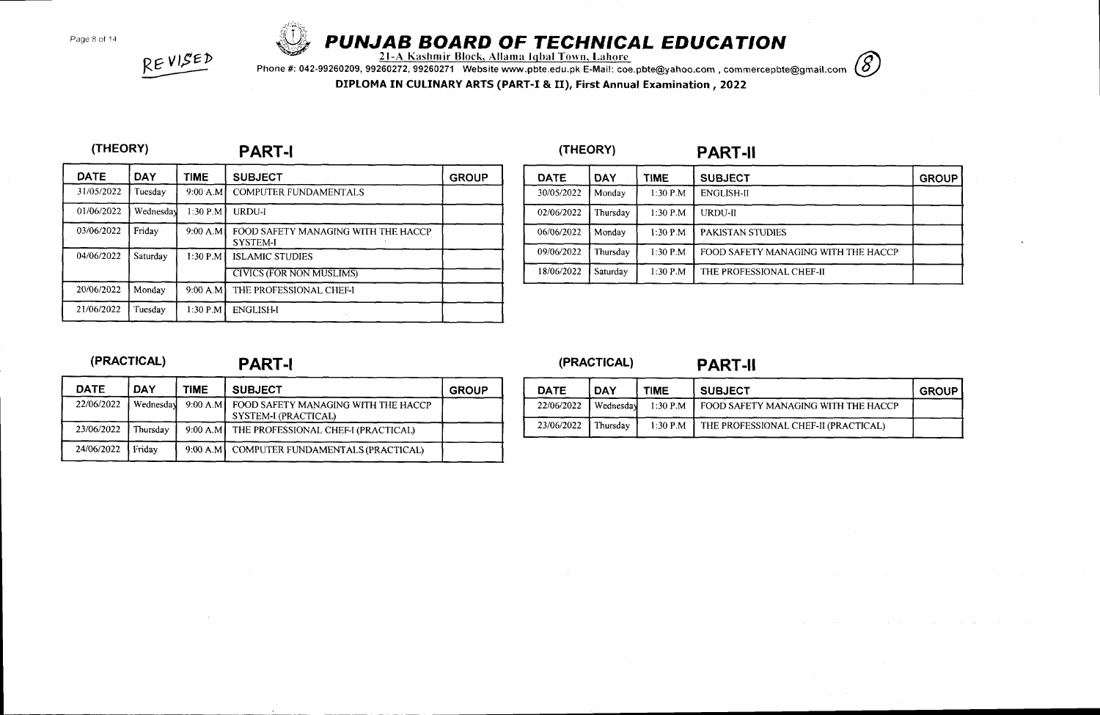

# Page 8 of 14 **PUNJAB BOARD OF TECHNICAL EDUCATION**<br>21-A Kashmir Block, Allama Iqbal Town, Lahore

Phone #: 042-99260209, 99260272, 99260271 Website www.pbte.edu.pk E-Mail: coe.pbte@yahoo.com , commercepbte@gmail.com

DIPLOMA IN CULINARY ARTS (PART-I & II), First Annual Examination, 2022

#### (THEORY)

REVISED

## PART-I (THEORY) PART-II

| <b>DATE</b> | <b>DAY</b> | <b>TIME</b> | <b>SUBJECT</b>                                         | <b>GROUP</b> |
|-------------|------------|-------------|--------------------------------------------------------|--------------|
| 31/05/2022  | Tuesday    | $9:00$ A.M  | COMPUTER FUNDAMENTALS                                  |              |
| 01/06/2022  | Wednesday  | $1:30$ P.M  | URDU-I                                                 |              |
| 03/06/2022  | Friday     | 9:00 A.M    | FOOD SAFETY MANAGING WITH THE HACCP<br><b>SYSTEM-I</b> |              |
| 04/06/2022  | Saturday   | $1:30$ P.M  | <b>ISLAMIC STUDIES</b>                                 |              |
|             |            |             | <b>CIVICS (FOR NON MUSLIMS)</b>                        |              |
| 20/06/2022  | Monday     | 9:00 A.M    | THE PROFESSIONAL CHEF-I                                |              |
| 21/06/2022  | Tuesday    | 1:30 P.M    | <b>ENGLISH-I</b>                                       |              |

# DATE DAY TIME SUBJECT THE SUBJECT THE SERVICE 30/05/2022 Monday 1:30 P.M ENGLISH-I] 02/06/2022 | Thursday | 1:30 P.M | URDU-II 06/06/2022 | Monday | 1:30 P.M | PAKISTAN STUDIES 09/06/2022 | Thursday | 1:30 P.M | FOOD SAFETY MANAGING WITH THE HACCP 18/06/2022 Saturday | 1:30 P.M THE PROFESSIONAL CHEF-II

### (PRACTICAL)

## PART-I (PRACTICAL) PART-II

| <b>DATE</b> | DAY       | <b>TIME</b> | <b>SUBJECT</b>                                              | <b>GROUP</b> |
|-------------|-----------|-------------|-------------------------------------------------------------|--------------|
| 22/06/2022  | Wednesday | 9:00 A.M    | FOOD SAFETY MANAGING WITH THE HACCP<br>SYSTEM-I (PRACTICAL) |              |
| 23/06/2022  | Thursdav  |             | 9:00 A.M THE PROFESSIONAL CHEF-I (PRACTICAL)                |              |
| 24/06/2022  | Fridav    |             | 9:00 A.M COMPUTER FUNDAMENTALS (PRACTICAL)                  |              |

| <b>DATE</b> | <b>DAY</b> | TIME       | <b>SUBJECT</b>                               | <b>GROUP</b> |
|-------------|------------|------------|----------------------------------------------|--------------|
| 22/06/2022  | Wednesday  |            | 1:30 P.M FOOD SAFETY MANAGING WITH THE HACCP |              |
| 23/06/2022  | Thursdav   | $1.30$ P.M | THE PROFESSIONAL CHEF-II (PRACTICAL)         |              |

# $\circledS$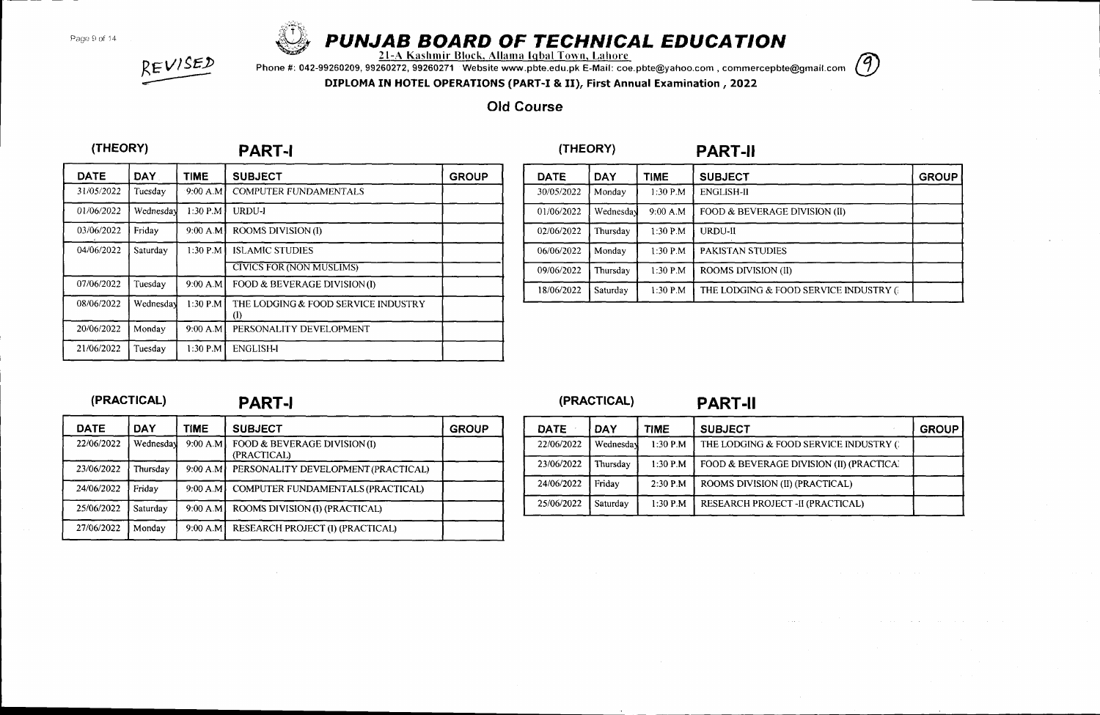Page 9 of 14



# PUNJAB BOARD OF TECHNICAL EDUCAT'ON

<u>21-A Kashmir Block, Allama Iqbal Town, Lahore</u>

Phone #: 042-99260209, 99260272, 99260271 Website www.pbte.edu.pk E-Mail: coe.pbte@yahoo.com , commercepbte@gmail. com



DIPLOMA IN HOTEL OPERATIONS (PART-I & II), First Annual Examination ,2022

## Old Course

### (THEORY)

 $REVISED$ 

### PART-I

| <b>DATE</b> | DAY.      | <b>TIME</b> | <b>SUBJECT</b>                             | <b>GROUP</b> |
|-------------|-----------|-------------|--------------------------------------------|--------------|
| 31/05/2022  | Tuesdav   | 9:00 A.M    | <b>COMPUTER FUNDAMENTALS</b>               |              |
| 01/06/2022  | Wednesday | $1:30$ P.M  | URDU-J                                     |              |
| 03/06/2022  | Friday    | 9:00 A.M    | ROOMS DIVISION (I)                         |              |
| 04/06/2022  | Saturday  | 1:30 P.M    | <b>ISLAMIC STUDIES</b>                     |              |
|             |           |             | <b>CIVICS FOR (NON MUSLIMS)</b>            |              |
| 07/06/2022  | Tuesday   | 9:00 A.M    | FOOD & BEVERAGE DIVISION (I)               |              |
| 08/06/2022  | Wednesday | $1:30$ P.M  | THE LODGING & FOOD SERVICE INDUSTRY<br>(I) |              |
| 20/06/2022  | Monday    | 9:00 A.M    | PERSONALITY DEVELOPMENT                    |              |
| 21/06/2022  | Tuesday   | $1:30$ P.M  | <b>ENGLISH-I</b>                           |              |

| <b>DATE</b> | <b>DAY</b> | <b>TIME</b> | <b>SUBJECT</b>                        | <b>GROUP</b> |
|-------------|------------|-------------|---------------------------------------|--------------|
| 30/05/2022  | Monday     | 1:30 P.M    | <b>ENGLISH-II</b>                     |              |
| 01/06/2022  | Wednesday  | 9:00 A.M    | FOOD & BEVERAGE DIVISION (II)         |              |
| 02/06/2022  | Thursday   | $1:30$ P.M  | URDU-II                               |              |
| 06/06/2022  | Monday     | $1:30$ P.M  | PAKISTAN STUDIES                      |              |
| 09/06/2022  | Thursday   | $1:30$ P.M  | <b>ROOMS DIVISION (II)</b>            |              |
| 18/06/2022  | Saturday   | $1:30$ P.M  | THE LODGING & FOOD SERVICE INDUSTRY G |              |

PART.II

### (PRACTICAL)

## **PART-I**

| <b>DATE</b> | <b>DAY</b> | <b>TIME</b> | <b>SUBJECT</b>                             | <b>GROUP</b> |
|-------------|------------|-------------|--------------------------------------------|--------------|
| 22/06/2022  | Wednesday  | 9:00 A.M    | FOOD & BEVERAGE DIVISION(I)<br>(PRACTICAL) |              |
| 23/06/2022  | Thursdav   | 9:00 A.M    | PERSONALITY DEVELOPMENT (PRACTICAL)        |              |
| 24/06/2022  | Friday     | 9:00 A M    | COMPUTER FUNDAMENTALS (PRACTICAL)          |              |
| 25/06/2022  | Saturday   | 9:00 A.M    | ROOMS DIVISION (I) (PRACTICAL)             |              |
| 27/06/2022  | Monday     | .9:00 A.M   | RESEARCH PROJECT (I) (PRACTICAL)           |              |

|             | (PRACTICAL) |             | <b>PART-II</b>                           |              |
|-------------|-------------|-------------|------------------------------------------|--------------|
| <b>DATE</b> | DAY         | <b>TIME</b> | <b>SUBJECT</b>                           | <b>GROUP</b> |
| 22/06/2022  | Wednesday   | $1:30$ P.M  | THE LODGING & FOOD SERVICE INDUSTRY ()   |              |
| 23/06/2022  | Thursday    | $1:30$ P.M  | FOOD & BEVERAGE DIVISION (II) (PRACTICA) |              |
| 24/06/2022  | Friday      | $2:30$ P.M  | ROOMS DIVISION (II) (PRACTICAL)          |              |
| 25/06/2022  | Saturday    | $1:30$ P.M  | RESEARCH PROJECT -II (PRACTICAL)         |              |

# (THEORY)

(PRACTICAL)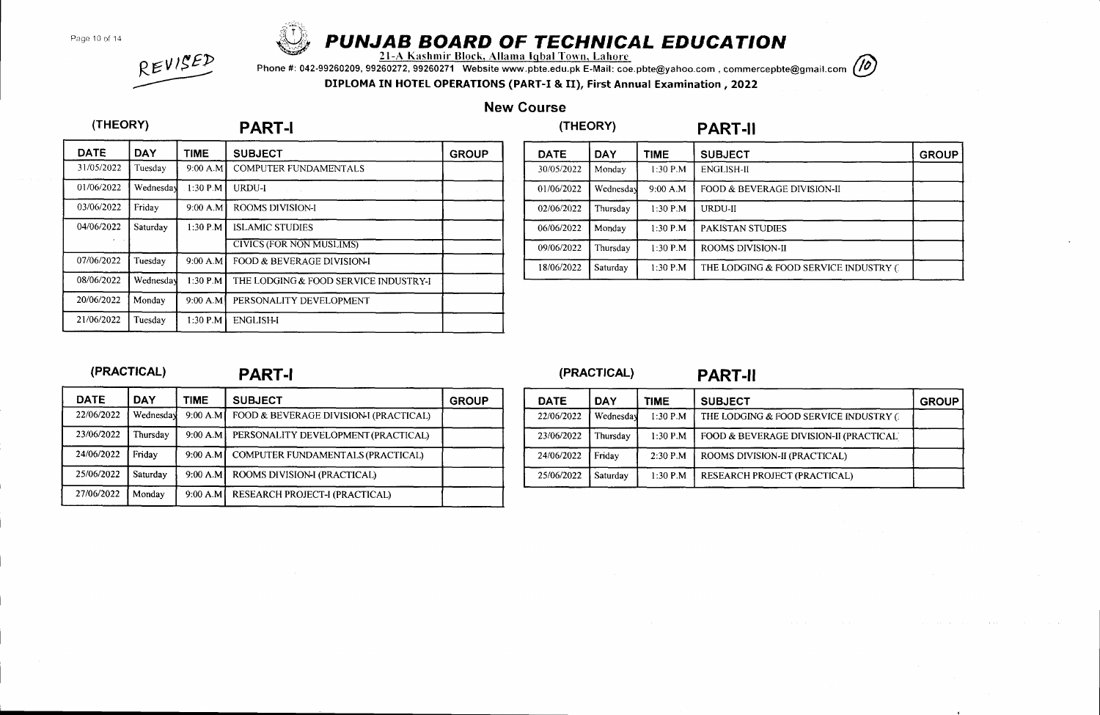Page 10 of 14

(THEORY)



# PUNJAB BOARD OF TECHNICAL EDUCATION<br>21-A Kashmir Block, Allama Iqbal Town, Lahore

Phone #: 042-99260209, 99260272, 99260271 Website www.pbte.edu.pk E-Mait: coe.pbte@yahoo.com , commercepbte@gmail.com DIPLOMA IN HOTEL OPERATIONS (PART-I & II), First Annual Examination ,2022



# REVISED

## New Course

# (THEORY) PART.II

| <b>DATE</b> | <b>DAY</b> | TIME       | <b>SUBJECT</b>                        | <b>GROUP</b> |
|-------------|------------|------------|---------------------------------------|--------------|
| 31/05/2022  | Tuesday    | 9:00 A.M   | <b>COMPUTER FUNDAMENTALS</b>          |              |
| 01/06/2022  | Wednesday  | $1:30$ P.M | URDU-I                                |              |
| 03/06/2022  | Friday     | 9:00 A.M   | <b>ROOMS DIVISION-I</b>               |              |
| 04/06/2022  | Saturday   | 1:30 P.M   | <b>ISLAMIC STUDIES</b>                |              |
|             |            |            | <b>CIVICS (FOR NON MUSLIMS)</b>       |              |
| 07/06/2022  | Tuesday    | 9:00 A.M   | FOOD & BEVERAGE DIVISION-I            |              |
| 08/06/2022  | Wednesday  | $1:30$ P.M | THE LODGING & FOOD SERVICE INDUSTRY-I |              |
| 20/06/2022  | Monday     | 9:00 A.M   | PERSONALITY DEVELOPMENT               |              |
| 21/06/2022  | Tuesday    | 1:30 P.M   | <b>ENGLISH-I</b>                      |              |

PART.I

| <b>DATE</b> | <b>DAY</b> | TIME       | <b>SUBJECT</b>                         | <b>GROUP</b> |
|-------------|------------|------------|----------------------------------------|--------------|
| 30/05/2022  | Monday     | $1:30$ P.M | <b>ENGLISH-II</b>                      |              |
| 01/06/2022  | Wednesday  | 9:00 A.M   | FOOD & BEVERAGE DIVISION-II            |              |
| 02/06/2022  | Thursdav   | $1:30$ P.M | <b>URDU-II</b>                         |              |
| 06/06/2022  | Monday     | $1:30$ P.M | <b>PAKISTAN STUDIES</b>                |              |
| 09/06/2022  | Thursday   | $1:30$ P.M | <b>ROOMS DIVISION-II</b>               |              |
| 18/06/2022  | Saturday   | 1:30 P.M   | THE LODGING & FOOD SERVICE INDUSTRY () |              |

### (PRACTICAL)

## PART-I (PRACTICAL) PART-II

| <b>DATE</b> | DAY       | <b>TIME</b> | <b>SUBJECT</b>                         | <b>GROUP</b> |
|-------------|-----------|-------------|----------------------------------------|--------------|
| 22/06/2022  | Wednesday | 9:00 A.M    | FOOD & BEVERAGE DIVISION-I (PRACTICAL) |              |
| 23/06/2022  | Thursday  | 9:00 A.M    | PERSONALITY DEVELOPMENT (PRACTICAL)    |              |
| 24/06/2022  | Friday    | $9:00$ A.M  | COMPUTER FUNDAMENTALS (PRACTICAL)      |              |
| 25/06/2022  | Saturday  | 9:00 A.M    | ROOMS DIVISION-I (PRACTICAL)           |              |
| 27/06/2022  | Monday    | 9:00 A.M    | RESEARCH PROJECT-I (PRACTICAL)         |              |

| <b>DATE</b> | <b>DAY</b> | <b>TIME</b> | <b>SUBJECT</b>                          | <b>GROUP</b> |
|-------------|------------|-------------|-----------------------------------------|--------------|
| 22/06/2022  | Wednesday  | 1:30 P.M    | THE LODGING & FOOD SERVICE INDUSTRY 6   |              |
| 23/06/2022  | [`hursday  | 1:30 P.M    | FOOD & BEVERAGE DIVISION-II (PRACTICAL) |              |
| 24/06/2022  | Fridav     | $2:30$ P.M  | ROOMS DIVISION-II (PRACTICAL)           |              |
| 25/06/2022  | Saturday   | $1:30$ P.M  | RESEARCH PROJECT (PRACTICAL)            |              |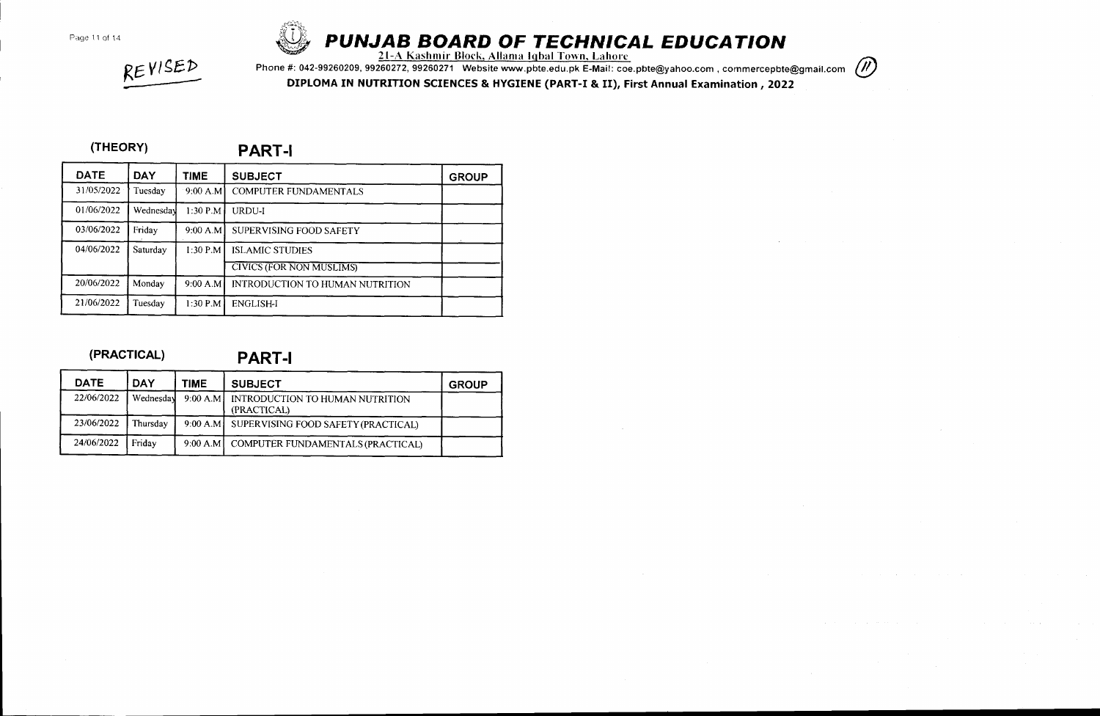

# PUNJAB BOARD OF TECHNICAL EDUCATION

<u>21-A Kashmir Block, Allama Iqbal Town, Lahore</u>

Phone #: 042-99260209, 99260272, 99260271 Website www.pbte.edu.pk E-Mail: coe.pbte@yahoo.com , commercepbte@gmail.com (//)

DIPIOMA IN NUTRITION SCIENCES & HYGIENE (PART-I & II), First Annual Examination , 2022

#### (THEORY)

REVISED

PART.I

| <b>DATE</b> | <b>DAY</b> | <b>TIME</b> | <b>SUBJECT</b>                  | <b>GROUP</b> |
|-------------|------------|-------------|---------------------------------|--------------|
| 31/05/2022  | Tuesday    | 9:00 A.M    | <b>COMPUTER FUNDAMENTALS</b>    |              |
| 01/06/2022  | Wednesday  | $1:30$ P.M  | URDU-I                          |              |
| 03/06/2022  | Friday     | 9:00 A.M    | SUPERVISING FOOD SAFETY         |              |
| 04/06/2022  | Saturday   | $1:30$ P.M  | <b>ISLAMIC STUDIES</b>          |              |
|             |            |             | <b>CIVICS (FOR NON MUSLIMS)</b> |              |
| 20/06/2022  | Monday     | 9:00 A.M    | INTRODUCTION TO HUMAN NUTRITION |              |
| 21/06/2022  | Tuesday    | $1:30$ P.M  | <b>ENGLISH-I</b>                |              |

#### (PRACTICAL)

PART-I

| <b>DATE</b> | <b>DAY</b> | <b>TIME</b> | <b>SUBJECT</b>                                 | <b>GROUP</b> |
|-------------|------------|-------------|------------------------------------------------|--------------|
| 22/06/2022  | Wednesday  | 9:00 A.M    | INTRODUCTION TO HUMAN NUTRITION<br>(PRACTICAL) |              |
| 23/06/2022  | Thursday   |             | 9:00 A.M SUPERVISING FOOD SAFETY (PRACTICAL)   |              |
| 24/06/2022  | Fridav     | 9:00 A.M1   | COMPUTER FUNDAMENTALS (PRACTICAL)              |              |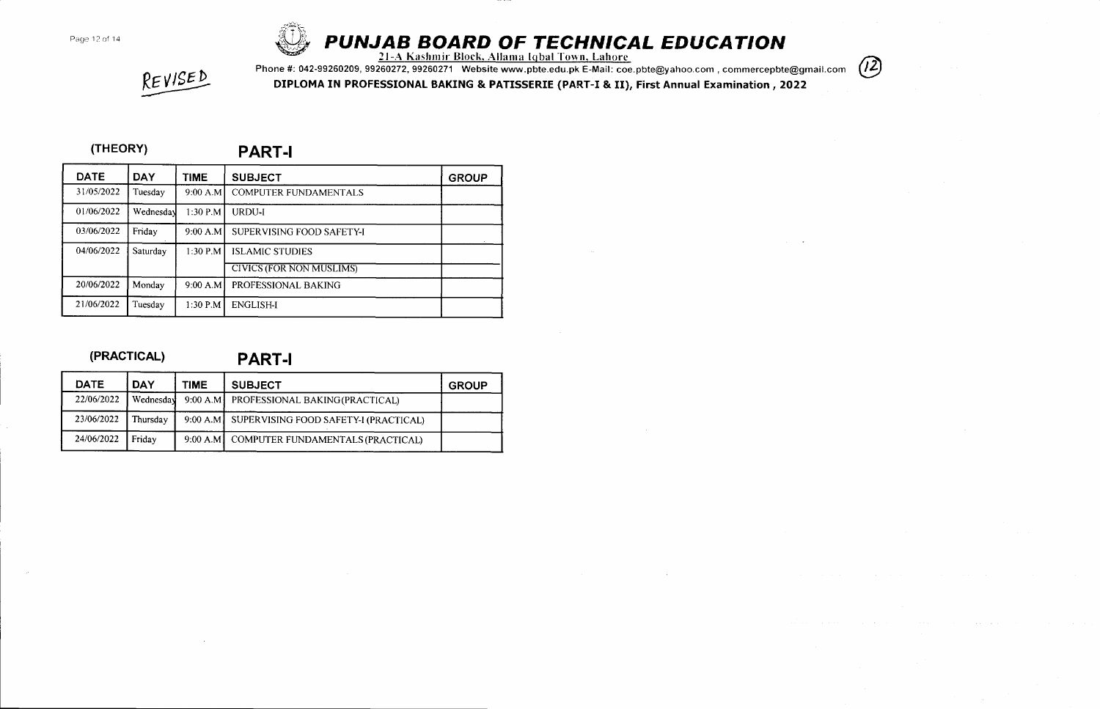

# PROPAGE 12 of 14 **CATION**<br>21-A Kashmir Block, Allama Iqbal Town, Lahore<br>41 **PUNJAB BOARD OF TECHNICAL EDUCATION**

 $(12)$ 

REVISED

Phone #: 042-99260209,99?60272,99260271 Website www.pbte.edu.pk E-Mail: coe.pbte@yahoo.com , commercepbte@gmail.com DIPLOMA IN PROFESSIONAL BAKING & PATISSERIE (PART-I & II), First Annual Examination ,2022

### (THEORY)

PART.I

| <b>DATE</b> | <b>DAY</b> | TIME       | <b>SUBJECT</b>                  | <b>GROUP</b> |
|-------------|------------|------------|---------------------------------|--------------|
| 31/05/2022  | Tuesday    | 9:00 A.M   | <b>COMPUTER FUNDAMENTALS</b>    |              |
| 01/06/2022  | Wednesday  | $1:30$ P.M | URDU-I                          |              |
| 03/06/2022  | Friday     | 9:00 A.M   | SUPERVISING FOOD SAFETY-I       |              |
| 04/06/2022  | Saturday   | $1:30$ P.M | <b>ISLAMIC STUDIES</b>          |              |
|             |            |            | <b>CIVICS (FOR NON MUSLIMS)</b> |              |
| 20/06/2022  | Monday     | 9:00 A.M   | PROFESSIONAL BAKING             |              |
| 21/06/2022  | Tuesdav    | $1:30$ P.M | <b>ENGLISH-I</b>                |              |

### (PRACTICAL)

PART.I

| <b>DATE</b> | <b>DAY</b> | <b>TIME</b> | <b>SUBJECT</b>                                 | <b>GROUP</b> |
|-------------|------------|-------------|------------------------------------------------|--------------|
| 22/06/2022  | Wednesday  |             | 9:00 A.M PROFESSIONAL BAKING (PRACTICAL)       |              |
| 23/06/2022  | Thursday   |             | 9:00 A.M SUPERVISING FOOD SAFETY-I (PRACTICAL) |              |
| 24/06/2022  | Fridav     |             | 9:00 A.M   COMPUTER FUNDAMENTALS (PRACTICAL)   |              |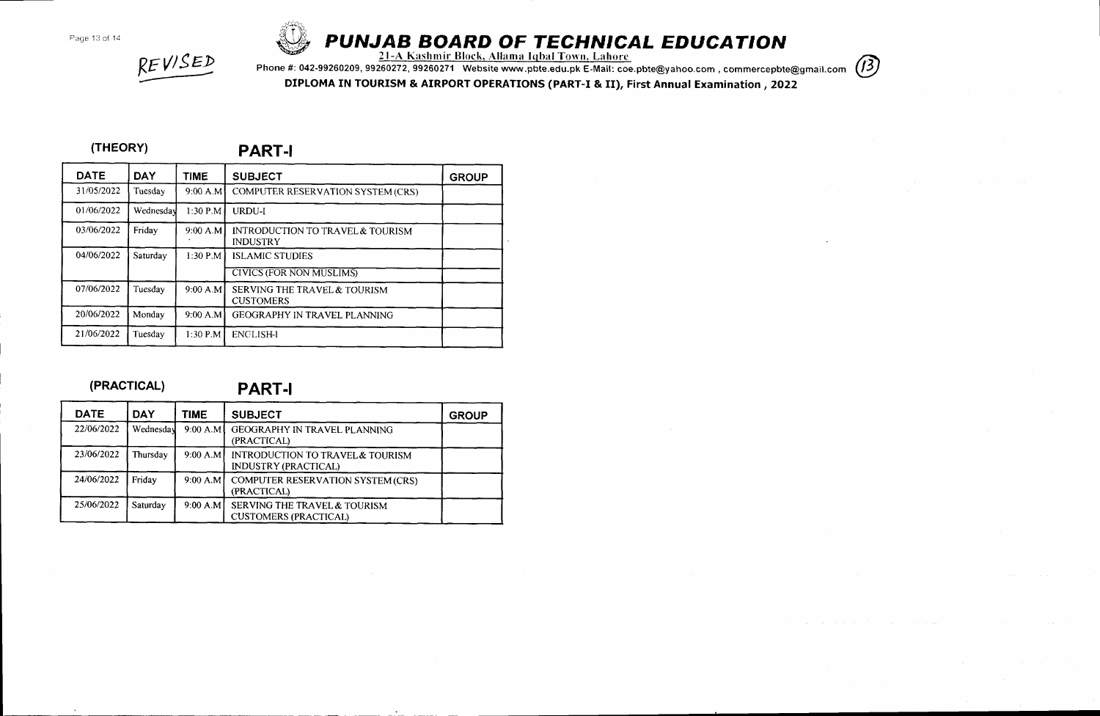

# PUNJAB BOARD OF TECHN'CAL EDUCATION

<u>21-A Kashmir Block, Allama Iqbal Town. Lahore</u>

Phone #: 042-99260209, 99260272, 99260271 Website www.pbte.edu.pk E-Mail: coe.pbte@yahoo.com , commercepbte@gmail.com (13)

DIPLOMA IN TOURISM & AIRPORT OPERATIONS (PART-I & II), First Annual Examination ,2022

### (THEORY)

REVISED

PART-I

| <b>DATE</b> | <b>DAY</b> | TIME       | <b>SUBJECT</b>                                                 | <b>GROUP</b> |
|-------------|------------|------------|----------------------------------------------------------------|--------------|
| 31/05/2022  | Tuesday    | 9:00 A.M   | COMPUTER RESERVATION SYSTEM (CRS)                              |              |
| 01/06/2022  | Wednesday  | 1:30 P.M   | URDU-I                                                         |              |
| 03/06/2022  | Friday     | 9:00 A.M   | <b>INTRODUCTION TO TRAVEL &amp; TOURISM</b><br><b>INDUSTRY</b> |              |
| 04/06/2022  | Saturday   | $1:30$ P.M | <b>ISLAMIC STUDIES</b>                                         |              |
|             |            |            | <b>CIVICS (FOR NON MUSLIMS)</b>                                |              |
| 07/06/2022  | Tuesday    | 9:00 A.M   | <b>SERVING THE TRAVEL &amp; TOURISM</b><br><b>CUSTOMERS</b>    |              |
| 20/06/2022  | Monday     | 9:00 A.M   | GEOGRAPHY IN TRAVEL PLANNING                                   |              |
| 21/06/2022  | Tuesday    | $1:30$ P.M | <b>ENGLISH-I</b>                                               |              |

#### (PRACTICAL)

PART.I

| <b>DATE</b> | <b>DAY</b> | TIME       | <b>SUBJECT</b>                                                  | <b>GROUP</b> |
|-------------|------------|------------|-----------------------------------------------------------------|--------------|
| 22/06/2022  | Wednesday  | $9:00$ A.M | GEOGRAPHY IN TRAVEL PLANNING<br>(PRACTICAL)                     |              |
| 23/06/2022  | Thursday   | 9:00 A.M   | INTRODUCTION TO TRAVEL & TOURISM<br><b>INDUSTRY (PRACTICAL)</b> |              |
| 24/06/2022  | Friday     | 9:00 A.M   | <b>COMPUTER RESERVATION SYSTEM (CRS)</b><br>(PRACTICAL)         |              |
| 25/06/2022  | Saturday   | 9:00 A.M   | SERVING THE TRAVEL & TOURISM<br><b>CUSTOMERS (PRACTICAL)</b>    |              |